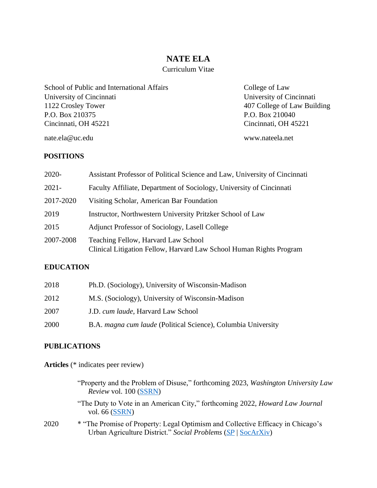# **NATE ELA**

# Curriculum Vitae

School of Public and International Affairs College of Law University of Cincinnati University of Cincinnati 1122 Crosley Tower 407 College of Law Building P.O. Box 210375 P.O. Box 210040 Cincinnati, OH 45221 Cincinnati, OH 45221

nate.ela@uc.edu www.nateela.net

#### **POSITIONS**

| 2020-     | Assistant Professor of Political Science and Law, University of Cincinnati                                 |
|-----------|------------------------------------------------------------------------------------------------------------|
| $2021 -$  | Faculty Affiliate, Department of Sociology, University of Cincinnati                                       |
| 2017-2020 | Visiting Scholar, American Bar Foundation                                                                  |
| 2019      | Instructor, Northwestern University Pritzker School of Law                                                 |
| 2015      | Adjunct Professor of Sociology, Lasell College                                                             |
| 2007-2008 | Teaching Fellow, Harvard Law School<br>Clinical Litigation Fellow, Harvard Law School Human Rights Program |

#### **EDUCATION**

| 2018 | Ph.D. (Sociology), University of Wisconsin-Madison            |
|------|---------------------------------------------------------------|
| 2012 | M.S. (Sociology), University of Wisconsin-Madison             |
| 2007 | J.D. cum laude, Harvard Law School                            |
| 2000 | B.A. magna cum laude (Political Science), Columbia University |

#### **PUBLICATIONS**

**Articles** (\* indicates peer review)

| "Property and the Problem of Disuse," forthcoming 2023, <i>Washington University Law</i> |  |  |
|------------------------------------------------------------------------------------------|--|--|
| <i>Review vol.</i> 100 (SSRN)                                                            |  |  |

"The Duty to Vote in an American City," forthcoming 2022, *Howard Law Journal*  vol. 66 [\(SSRN\)](https://papers.ssrn.com/sol3/papers.cfm?abstract_id=3937396)

2020 \* "The Promise of Property: Legal Optimism and Collective Efficacy in Chicago's Urban Agriculture District." *Social Problems* [\(](https://osf.io/preprints/socarxiv/8syxz/)*[SP](https://academic.oup.com/socpro/advance-article-abstract/doi/10.1093/socpro/spaa055/5979692?redirectedFrom=fulltext)* | [SocArXiv\)](https://osf.io/preprints/socarxiv/8syxz/)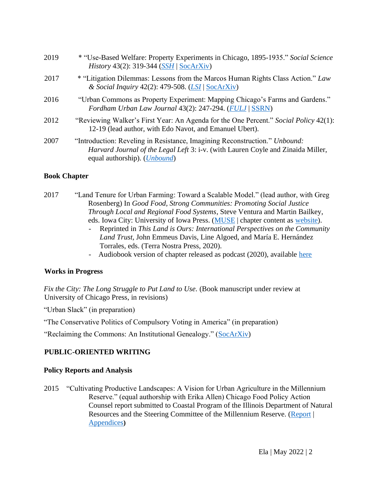| 2019 | * "Use-Based Welfare: Property Experiments in Chicago, 1895-1935." Social Science<br><i>History</i> 43(2): 319-344 ( <i>SSH</i>   SocArXiv)                                                             |
|------|---------------------------------------------------------------------------------------------------------------------------------------------------------------------------------------------------------|
| 2017 | * "Litigation Dilemmas: Lessons from the Marcos Human Rights Class Action." Law<br>& Social Inquiry 42(2): 479-508. ( <i>LSI</i>   SocArXiv)                                                            |
| 2016 | "Urban Commons as Property Experiment: Mapping Chicago's Farms and Gardens."<br>Fordham Urban Law Journal 43(2): 247-294. (FULJ   SSRN)                                                                 |
| 2012 | "Reviewing Walker's First Year: An Agenda for the One Percent." Social Policy 42(1):<br>12-19 (lead author, with Edo Navot, and Emanuel Ubert).                                                         |
| 2007 | "Introduction: Reveling in Resistance, Imagining Reconstruction." Unbound:<br>Harvard Journal of the Legal Left 3: i-v. (with Lauren Coyle and Zinaida Miller,<br>equal authorship). ( <i>Unbound</i> ) |

#### **Book Chapter**

| 2017 | "Land Tenure for Urban Farming: Toward a Scalable Model." (lead author, with Greg |
|------|-----------------------------------------------------------------------------------|
|      | Rosenberg) In Good Food, Strong Communities: Promoting Social Justice             |
|      | <i>Through Local and Regional Food Systems, Steve Ventura and Martin Bailkey,</i> |
|      | eds. Iowa City: University of Iowa Press. (MUSE chapter content as website).      |

- *-* Reprinted in *This Land is Ours: International Perspectives on the Community Land Trust,* John Emmeus Davis, Line Algoed, and María E. Hernández Torrales, eds. (Terra Nostra Press, 2020).
- Audiobook version of chapter released as podcast (2020), available [here](https://www.listennotes.com/podcasts/on-common-ground/chapter-17-lands-in-trust-7WVv8mzlN0i/)

# **Works in Progress**

*Fix the City: The Long Struggle to Put Land to Use.* (Book manuscript under review at University of Chicago Press, in revisions)

"Urban Slack" (in preparation)

"The Conservative Politics of Compulsory Voting in America" (in preparation)

"Reclaiming the Commons: An Institutional Genealogy." [\(SocArXiv\)](https://osf.io/preprints/socarxiv/ruwbp)

# **PUBLIC-ORIENTED WRITING**

# **Policy Reports and Analysis**

2015 "Cultivating Productive Landscapes: A Vision for Urban Agriculture in the Millennium Reserve." (equal authorship with Erika Allen) Chicago Food Policy Action Counsel report submitted to Coastal Program of the Illinois Department of Natural Resources and the Steering Committee of the Millennium Reserve. [\(Report](https://www.chicagofoodpolicy.com/s/Cultivating-Productive-Landscapes-December-2015.pdf) | [Appendices](https://www.chicagofoodpolicy.com/s/Cultivating-Productive-Landcapes-Appendices-Dec-2015-reduced.pdf)**[\)](https://www.chicagofoodpolicy.com/s/Cultivating-Productive-Landcapes-Appendices-Dec-2015-reduced.pdf)**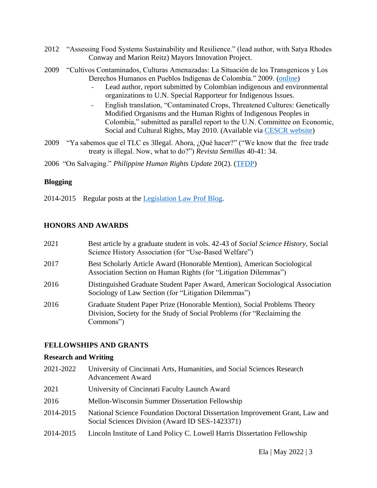- 2012 "Assessing Food Systems Sustainability and Resilience." (lead author, with Satya Rhodes Conway and Marion Reitz) Mayors Innovation Project.
- 2009 "Cultivos Contaminados, Culturas Amenazadas: La Situación de los Transgenicos y Los Derechos Humanos en Pueblos Indígenas de Colombia." 2009. [\(online\)](https://www.ecoportal.net/temas-especiales/pueblos-indigenas/la_situacion_de_los_transgenicos_y_los_derechos_humanos_en_pueblos_indigenas_de_colombia/) 
	- Lead author, report submitted by Colombian indigenous and environmental organizations to U.N. Special Rapporteur for Indigenous Issues.
	- English translation, "Contaminated Crops, Threatened Cultures: Genetically Modified Organisms and the Human Rights of Indigenous Peoples in Colombia," submitted as parallel report to the U.N. Committee on Economic, Social and Cultural Rights, May 2010. (Available via [CESCR website\)](https://tbinternet.ohchr.org/_layouts/treatybodyexternal/Download.aspx?symbolno=INT%2fCESCR%2fNGO%2fCOL%2f44%2f8430&Lang=en)
- 2009 "Ya sabemos que el TLC es 3llegal. Ahora, ¿Qué hacer?" ("We know that the free trade treaty is illegal. Now, what to do?") *Revista Semillas* 40-41: 34.

2006 "On Salvaging." *Philippine Human Rights Update* 20(2). [\(TFDP\)](http://main.tfdp.net/index.php?option=com_content&task=view&id=35&Itemid=30)

#### **Blogging**

2014-2015 Regular posts at the [Legislation Law Prof Blog.](https://lawprofessors.typepad.com/legislation_law/) 

# **HONORS AND AWARDS**

| 2021 | Best article by a graduate student in vols. 42-43 of Social Science History, Social<br>Science History Association (for "Use-Based Welfare")                     |
|------|------------------------------------------------------------------------------------------------------------------------------------------------------------------|
| 2017 | Best Scholarly Article Award (Honorable Mention), American Sociological<br>Association Section on Human Rights (for "Litigation Dilemmas")                       |
| 2016 | Distinguished Graduate Student Paper Award, American Sociological Association<br>Sociology of Law Section (for "Litigation Dilemmas")                            |
| 2016 | Graduate Student Paper Prize (Honorable Mention), Social Problems Theory<br>Division, Society for the Study of Social Problems (for "Reclaiming the<br>Commons") |

# **FELLOWSHIPS AND GRANTS**

#### **Research and Writing**

2021-2022 University of Cincinnati Arts, Humanities, and Social Sciences Research Advancement Award 2021 University of Cincinnati Faculty Launch Award 2016 Mellon-Wisconsin Summer Dissertation Fellowship 2014-2015 National Science Foundation Doctoral Dissertation Improvement Grant, Law and Social Sciences Division (Award ID SES-1423371) 2014-2015 Lincoln Institute of Land Policy C. Lowell Harris Dissertation Fellowship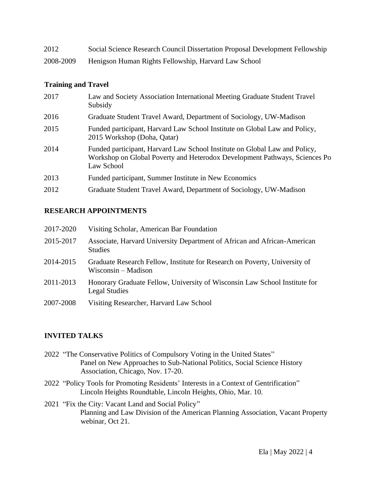| 2012      | Social Science Research Council Dissertation Proposal Development Fellowship |
|-----------|------------------------------------------------------------------------------|
| 2008-2009 | Henigson Human Rights Fellowship, Harvard Law School                         |

#### **Training and Travel**

| 2017 | Law and Society Association International Meeting Graduate Student Travel<br>Subsidy                                                                                   |
|------|------------------------------------------------------------------------------------------------------------------------------------------------------------------------|
| 2016 | Graduate Student Travel Award, Department of Sociology, UW-Madison                                                                                                     |
| 2015 | Funded participant, Harvard Law School Institute on Global Law and Policy,<br>2015 Workshop (Doha, Qatar)                                                              |
| 2014 | Funded participant, Harvard Law School Institute on Global Law and Policy,<br>Workshop on Global Poverty and Heterodox Development Pathways, Sciences Po<br>Law School |
| 2013 | Funded participant, Summer Institute in New Economics                                                                                                                  |
| 2012 | Graduate Student Travel Award, Department of Sociology, UW-Madison                                                                                                     |

# **RESEARCH APPOINTMENTS**

| 2017-2020 | Visiting Scholar, American Bar Foundation                                                         |
|-----------|---------------------------------------------------------------------------------------------------|
| 2015-2017 | Associate, Harvard University Department of African and African-American<br><b>Studies</b>        |
| 2014-2015 | Graduate Research Fellow, Institute for Research on Poverty, University of<br>Wisconsin – Madison |
| 2011-2013 | Honorary Graduate Fellow, University of Wisconsin Law School Institute for<br>Legal Studies       |
| 2007-2008 | Visiting Researcher, Harvard Law School                                                           |

# **INVITED TALKS**

- 2022 "The Conservative Politics of Compulsory Voting in the United States" Panel on New Approaches to Sub-National Politics, Social Science History Association, Chicago, Nov. 17-20.
- 2022 "Policy Tools for Promoting Residents' Interests in a Context of Gentrification" Lincoln Heights Roundtable, Lincoln Heights, Ohio, Mar. 10.
- 2021 "Fix the City: Vacant Land and Social Policy" Planning and Law Division of the American Planning Association, Vacant Property webinar, Oct 21.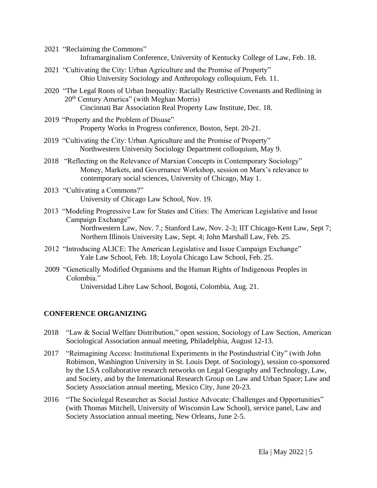- 2021 "Reclaiming the Commons" Inframarginalism Conference, University of Kentucky College of Law, Feb. 18.
- 2021 "Cultivating the City: Urban Agriculture and the Promise of Property" Ohio University Sociology and Anthropology colloquium, Feb. 11.
- 2020 "The Legal Roots of Urban Inequality: Racially Restrictive Covenants and Redlining in 20<sup>th</sup> Century America" (with Meghan Morris) Cincinnati Bar Association Real Property Law Institute, Dec. 18.
- 2019 "Property and the Problem of Disuse" Property Works in Progress conference, Boston, Sept. 20-21.
- 2019 "Cultivating the City: Urban Agriculture and the Promise of Property" Northwestern University Sociology Department colloquium, May 9.
- 2018 "Reflecting on the Relevance of Marxian Concepts in Contemporary Sociology" Money, Markets, and Governance Workshop, session on Marx's relevance to contemporary social sciences, University of Chicago, May 1.
- 2013 "Cultivating a Commons?" University of Chicago Law School, Nov. 19.
- 2013 "Modeling Progressive Law for States and Cities: The American Legislative and Issue Campaign Exchange" Northwestern Law, Nov. 7.; Stanford Law, Nov. 2-3; IIT Chicago-Kent Law, Sept 7; Northern Illinois University Law, Sept. 4; John Marshall Law, Feb. 25.
- 2012 "Introducing ALICE: The American Legislative and Issue Campaign Exchange" Yale Law School, Feb. 18; Loyola Chicago Law School, Feb. 25.
- 2009 "Genetically Modified Organisms and the Human Rights of Indigenous Peoples in Colombia."

Universidad Libre Law School, Bogotá, Colombia, Aug. 21.

# **CONFERENCE ORGANIZING**

- 2018 "Law & Social Welfare Distribution," open session, Sociology of Law Section, American Sociological Association annual meeting, Philadelphia, August 12-13.
- 2017 "Reimagining Access: Institutional Experiments in the Postindustrial City" (with John Robinson, Washington University in St. Louis Dept. of Sociology), session co-sponsored by the LSA collaborative research networks on Legal Geography and Technology, Law, and Society, and by the International Research Group on Law and Urban Space; Law and Society Association annual meeting, Mexico City, June 20-23.
- 2016 "The Sociolegal Researcher as Social Justice Advocate: Challenges and Opportunities" (with Thomas Mitchell, University of Wisconsin Law School), service panel, Law and Society Association annual meeting, New Orleans, June 2-5.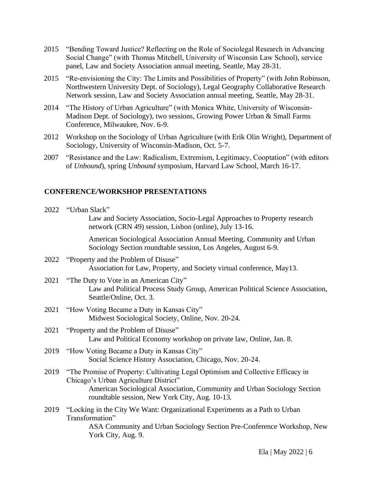- 2015 "Bending Toward Justice? Reflecting on the Role of Sociolegal Research in Advancing Social Change" (with Thomas Mitchell, University of Wisconsin Law School), service panel, Law and Society Association annual meeting, Seattle, May 28-31.
- 2015 "Re-envisioning the City: The Limits and Possibilities of Property" (with John Robinson, Northwestern University Dept. of Sociology), Legal Geography Collaborative Research Network session, Law and Society Association annual meeting, Seattle, May 28-31.
- 2014 "The History of Urban Agriculture" (with Monica White, University of Wisconsin-Madison Dept. of Sociology), two sessions, Growing Power Urban & Small Farms Conference, Milwaukee, Nov. 6-9.
- 2012 Workshop on the Sociology of Urban Agriculture (with Erik Olin Wright), Department of Sociology, University of Wisconsin-Madison, Oct. 5-7.
- 2007 "Resistance and the Law: Radicalism, Extremism, Legitimacy, Cooptation" (with editors of *Unbound*), spring *Unbound* symposium, Harvard Law School, March 16-17.

#### **CONFERENCE/WORKSHOP PRESENTATIONS**

|      | 2022 "Urban Slack"                                                                                                                                  |
|------|-----------------------------------------------------------------------------------------------------------------------------------------------------|
|      | Law and Society Association, Socio-Legal Approaches to Property research<br>network (CRN 49) session, Lisbon (online), July 13-16.                  |
|      | American Sociological Association Annual Meeting, Community and Urban<br>Sociology Section roundtable session, Los Angeles, August 6-9.             |
|      | 2022 "Property and the Problem of Disuse"<br>Association for Law, Property, and Society virtual conference, May13.                                  |
| 2021 | "The Duty to Vote in an American City"<br>Law and Political Process Study Group, American Political Science Association,<br>Seattle/Online, Oct. 3. |
| 2021 | "How Voting Became a Duty in Kansas City"<br>Midwest Sociological Society, Online, Nov. 20-24.                                                      |
| 2021 | "Property and the Problem of Disuse"<br>Law and Political Economy workshop on private law, Online, Jan. 8.                                          |
| 2019 | "How Voting Became a Duty in Kansas City"<br>Social Science History Association, Chicago, Nov. 20-24.                                               |
| 2019 | "The Promise of Property: Cultivating Legal Optimism and Collective Efficacy in<br>Chicago's Urban Agriculture District"                            |
|      | American Sociological Association, Community and Urban Sociology Section<br>roundtable session, New York City, Aug. 10-13.                          |
| 2019 | "Locking in the City We Want: Organizational Experiments as a Path to Urban<br>Transformation"                                                      |
|      | ASA Community and Urban Sociology Section Pre-Conference Workshop, New<br>York City, Aug. 9.                                                        |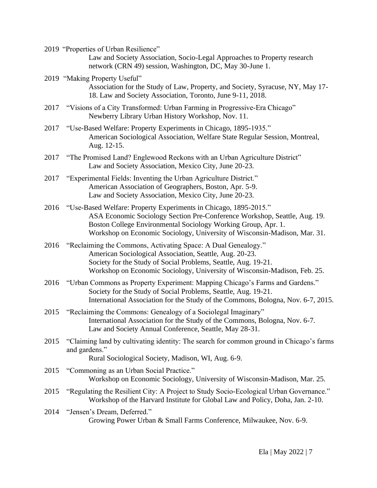- 2019 "Properties of Urban Resilience" Law and Society Association, Socio-Legal Approaches to Property research network (CRN 49) session, Washington, DC, May 30-June 1.
- 2019 "Making Property Useful" Association for the Study of Law, Property, and Society, Syracuse, NY, May 17- 18. Law and Society Association, Toronto, June 9-11, 2018.
- 2017 "Visions of a City Transformed: Urban Farming in Progressive-Era Chicago" Newberry Library Urban History Workshop, Nov. 11.
- 2017 "Use-Based Welfare: Property Experiments in Chicago, 1895-1935." American Sociological Association, Welfare State Regular Session, Montreal, Aug. 12-15.
- 2017 "The Promised Land? Englewood Reckons with an Urban Agriculture District" Law and Society Association, Mexico City, June 20-23.
- 2017 "Experimental Fields: Inventing the Urban Agriculture District." American Association of Geographers, Boston, Apr. 5-9. Law and Society Association, Mexico City, June 20-23.
- 2016 "Use-Based Welfare: Property Experiments in Chicago, 1895-2015." ASA Economic Sociology Section Pre-Conference Workshop, Seattle, Aug. 19. Boston College Environmental Sociology Working Group, Apr. 1. Workshop on Economic Sociology, University of Wisconsin-Madison, Mar. 31.
- 2016 "Reclaiming the Commons, Activating Space: A Dual Genealogy." American Sociological Association, Seattle, Aug. 20-23. Society for the Study of Social Problems, Seattle, Aug. 19-21. Workshop on Economic Sociology, University of Wisconsin-Madison, Feb. 25.
- 2016 "Urban Commons as Property Experiment: Mapping Chicago's Farms and Gardens." Society for the Study of Social Problems, Seattle, Aug. 19-21. International Association for the Study of the Commons, Bologna, Nov. 6-7, 2015.
- 2015 "Reclaiming the Commons: Genealogy of a Sociolegal Imaginary" International Association for the Study of the Commons, Bologna, Nov. 6-7. Law and Society Annual Conference, Seattle, May 28-31.
- 2015 "Claiming land by cultivating identity: The search for common ground in Chicago's farms and gardens."

Rural Sociological Society, Madison, WI, Aug. 6-9.

- 2015 "Commoning as an Urban Social Practice." Workshop on Economic Sociology, University of Wisconsin-Madison, Mar. 25.
- 2015 "Regulating the Resilient City: A Project to Study Socio-Ecological Urban Governance." Workshop of the Harvard Institute for Global Law and Policy, Doha, Jan. 2-10.
- 2014 "Jensen's Dream, Deferred." Growing Power Urban & Small Farms Conference, Milwaukee, Nov. 6-9.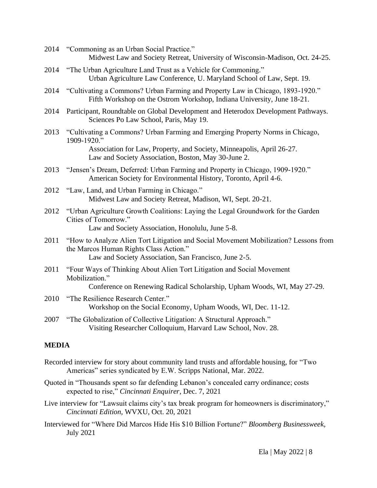- 2014 "Commoning as an Urban Social Practice." Midwest Law and Society Retreat, University of Wisconsin-Madison, Oct. 24-25.
- 2014 "The Urban Agriculture Land Trust as a Vehicle for Commoning." Urban Agriculture Law Conference, U. Maryland School of Law, Sept. 19.
- 2014 "Cultivating a Commons? Urban Farming and Property Law in Chicago, 1893-1920." Fifth Workshop on the Ostrom Workshop, Indiana University, June 18-21.
- 2014 Participant, Roundtable on Global Development and Heterodox Development Pathways. Sciences Po Law School, Paris, May 19.
- 2013 "Cultivating a Commons? Urban Farming and Emerging Property Norms in Chicago, 1909-1920."

Association for Law, Property, and Society, Minneapolis, April 26-27. Law and Society Association, Boston, May 30-June 2.

- 2013 "Jensen's Dream, Deferred: Urban Farming and Property in Chicago, 1909-1920." American Society for Environmental History, Toronto, April 4-6.
- 2012 "Law, Land, and Urban Farming in Chicago." Midwest Law and Society Retreat, Madison, WI, Sept. 20-21.
- 2012 "Urban Agriculture Growth Coalitions: Laying the Legal Groundwork for the Garden Cities of Tomorrow."

Law and Society Association, Honolulu, June 5-8.

- 2011 "How to Analyze Alien Tort Litigation and Social Movement Mobilization? Lessons from the Marcos Human Rights Class Action." Law and Society Association, San Francisco, June 2-5.
- 2011 "Four Ways of Thinking About Alien Tort Litigation and Social Movement Mobilization." Conference on Renewing Radical Scholarship, Upham Woods, WI, May 27-29.
- 2010 "The Resilience Research Center." Workshop on the Social Economy, Upham Woods, WI, Dec. 11-12.
- 2007 "The Globalization of Collective Litigation: A Structural Approach." Visiting Researcher Colloquium, Harvard Law School, Nov. 28.

# **MEDIA**

- Recorded interview for story about community land trusts and affordable housing, for "Two Americas" series syndicated by E.W. Scripps National, Mar. 2022.
- Quoted in "Thousands spent so far defending Lebanon's concealed carry ordinance; costs expected to rise," *Cincinnati Enquirer,* Dec. 7, 2021
- Live interview for "Lawsuit claims city's tax break program for homeowners is discriminatory," *Cincinnati Edition,* WVXU, Oct. 20, 2021
- Interviewed for "Where Did Marcos Hide His \$10 Billion Fortune?" *Bloomberg Businessweek,*  July 2021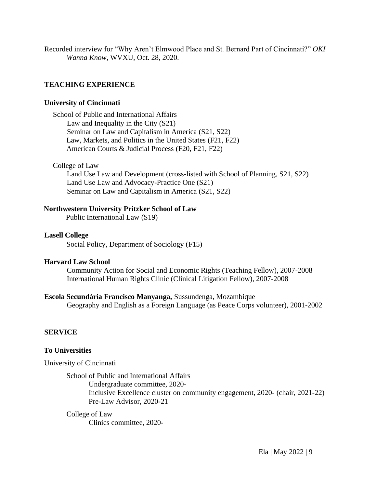Recorded interview for "Why Aren't Elmwood Place and St. Bernard Part of Cincinnati?" *OKI Wanna Know*, WVXU, Oct. 28, 2020.

# **TEACHING EXPERIENCE**

#### **University of Cincinnati**

School of Public and International Affairs Law and Inequality in the City (S21) Seminar on Law and Capitalism in America (S21, S22) Law, Markets, and Politics in the United States (F21, F22) American Courts & Judicial Process (F20, F21, F22)

#### College of Law

Land Use Law and Development (cross-listed with School of Planning, S21, S22) Land Use Law and Advocacy-Practice One (S21) Seminar on Law and Capitalism in America (S21, S22)

# **Northwestern University Pritzker School of Law**

Public International Law (S19)

#### **Lasell College**

Social Policy, Department of Sociology (F15)

#### **Harvard Law School**

Community Action for Social and Economic Rights (Teaching Fellow), 2007-2008 International Human Rights Clinic (Clinical Litigation Fellow), 2007-2008

# **Escola Secundária Francisco Manyanga,** Sussundenga, Mozambique

Geography and English as a Foreign Language (as Peace Corps volunteer), 2001-2002

# **SERVICE**

# **To Universities**

University of Cincinnati

School of Public and International Affairs Undergraduate committee, 2020- Inclusive Excellence cluster on community engagement, 2020- (chair, 2021-22) Pre-Law Advisor, 2020-21

# College of Law

Clinics committee, 2020-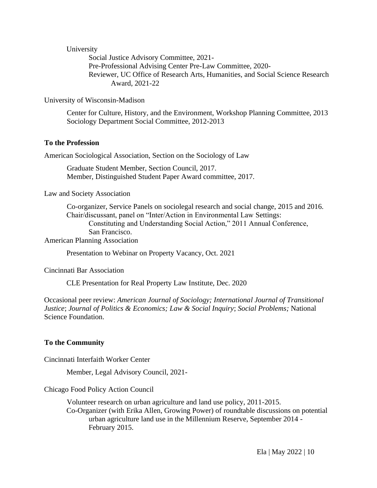University

Social Justice Advisory Committee, 2021- Pre-Professional Advising Center Pre-Law Committee, 2020- Reviewer, UC Office of Research Arts, Humanities, and Social Science Research Award, 2021-22

University of Wisconsin-Madison

Center for Culture, History, and the Environment, Workshop Planning Committee, 2013 Sociology Department Social Committee, 2012-2013

#### **To the Profession**

American Sociological Association, Section on the Sociology of Law

Graduate Student Member, Section Council, 2017. Member, Distinguished Student Paper Award committee, 2017.

Law and Society Association

Co-organizer, Service Panels on sociolegal research and social change, 2015 and 2016. Chair/discussant, panel on "Inter/Action in Environmental Law Settings: Constituting and Understanding Social Action," 2011 Annual Conference, San Francisco.

American Planning Association

Presentation to Webinar on Property Vacancy, Oct. 2021

Cincinnati Bar Association

CLE Presentation for Real Property Law Institute, Dec. 2020

Occasional peer review: *American Journal of Sociology; International Journal of Transitional Justice*; *Journal of Politics & Economics; Law & Social Inquiry*; *Social Problems;* National Science Foundation.

#### **To the Community**

Cincinnati Interfaith Worker Center

Member, Legal Advisory Council, 2021-

Chicago Food Policy Action Council

Volunteer research on urban agriculture and land use policy, 2011-2015. Co-Organizer (with Erika Allen, Growing Power) of roundtable discussions on potential urban agriculture land use in the Millennium Reserve, September 2014 - February 2015.